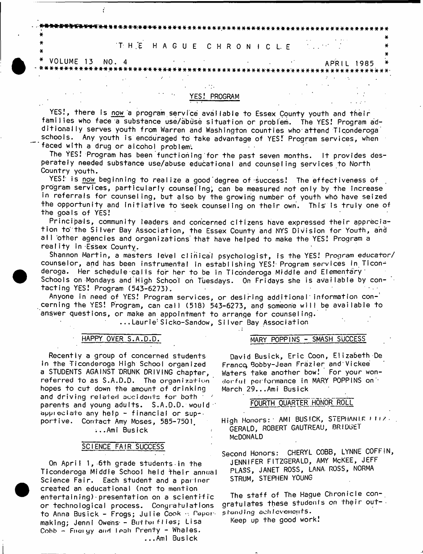THE HAGUE CHRONICLE

 $\sim 100$ 

YES!, there is now a program service available to Essex County youth and their families who face a substance use/abuse situation or problem. The YES! Program additionally serves youth from Warren and Washington counties who attend Ticonderoga schools. Any youth is encouraged to take advantage of YES! Program services, when

YES! PROGRAM

 $\sim 10^{11}$  km s  $^{-1}$ 

**APRIL 1985** 

faced with a drug or aicohol problem.

 $\sim$  1

**Contract Contract** 

 $\mathcal{L} \subset \mathcal{L}$ 

 $\sigma$  and  $\sigma_{\rm 2D}$  and  $\sigma_{\rm 2D}$ 

**\\\\\\\\\\\\\\\\\\**\\\\\\\\\\\\\\

\* VOLUME 13 NO. 4

¥

¥

The YES! Program has been functioning for the past seven months. It provides desperately needed substance use/abuse educational and counseling services to North Country youth.

YES! is now beginning to realize a good degree of success! The effectiveness of program services, particularly counseling, can be measured not only by the increase in referrals for counseling, but also by the growing number of youth who have seized the opportunity and initiative to seek counseling on their own. This is truly one of the goals of YES!

Principals, community leaders and concerned citizens have expressed their appreciation to the Silver Bay Association, the Essex County and NYS Division for Youth, and all other agencies and organizations that have helped to make the YES! Program a reality in Essex County.

Shannon Martin, a masters level clinical psychologist, is the YES! Program educator/ counselor, and has been instrumental in establishing YES! Program services in Ticonderoga. Her schedule calls for her to be in Ticonderoga Middle and Elementary Schools on Mondays and High School on Tuesdays. On Fridays she is available by contacting YES! Program (543-6273).

Anyone in need of YES! Program services, or desiring additional information concerning the YES! Program, can call (518) 543-6273, and someone will be available to answer questions, or make an appointment to arrange for counseling.

...Laurie'Sicko-Sandow, Silver Bay Association

# HAPPY OVER S.A.D.D.

Recently a group of concerned students in the Ticonderoga High School organized a STUDENTS AGAINST DRUNK DRIVING chapter, referred to as S.A.D.D. The organization hopes to cut down the amount of drinking and driving related accidents for both \* parents and young adults. S.A.D.D. would appreciate any help - financial or sup-portive. Contact Amy Moses, 585-7501. ...Ami Busick

## SCIENCE FAIR SUCCESS

On April 1, 6th grade students in the Ticonderoga Middle School held their annual Science Fair. Each student and a pariner created an educational (not to mention entertaining) presentation on a scientific or technological process. Congratulations to Anna Busick - Frogs; Julie Cook - Papermaking; Jenni Owens - Butterflies; Lisa Cobb - Firelyy and Leah Prenty - Whales. ...Ami Busick

# MARY POPPINS - SMASH SUCCESS

David Busick, Eric Coon, Elizabeth De Franco Bobby-Jean Fräzier and Vickee Waters take another bow! For your wondonful performance in MARY POPPINS on : March 29...Ami Busick

## FOURTH QUARTER HONOR ROLL

High Honors: AMI BUSICK, STEPHANLE FILZ. GERALD, ROBERT GAUTREAU, BRIDGET **MCDONALD** 

Second Honors: CHERYL COBB, LYNNE COFFIN, JENNIFER FITZGERALD, AMY MCKEE, JEFF PLASS, JANET ROSS, LANA ROSS, NORMA STRUM, STEPHEN YOUNG

The staff of The Hague Chronicle congratulates these students on their outstanding achievements.

Keep up the good work!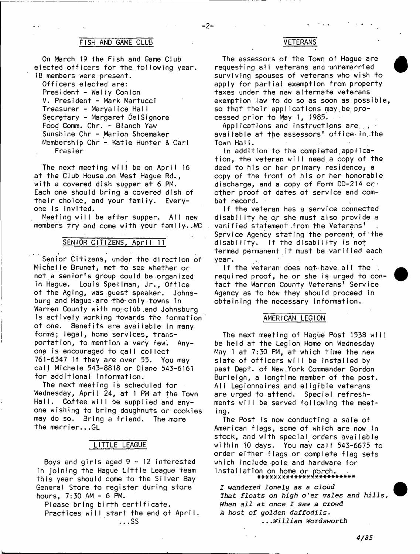#### **FISH AND GAME CLUB VETERANS**

 $-2-$ 

**On March 19 the Fish and Game Club** elected officers for the following year. **18 members were present.**

**Officers elected are: President - Wally Con I on V. President - Mark Martucci Treasurer - Maryalice Hall Secretary - Margaret Del Signore Food Comm. Chr. - Blanch Yaw Sunshine Chr - Marion Shoemaker Membership Chr - Katie Hunter & Carl Frasier**

The next meeting will be on April 16 at the Club House on West Hague Rd., with a covered dish supper at 6 PM. **Each one should bring a covered dish of** their choice, and your family. Every**one is invited.**

Meeting will be after supper. All new members try and come with your family..WC

## SENIOR CITIZENS, April 11

**Senior Citizens, under the direction of M ich elle Brunet, met to see whether or** not a senior's group could be organized in Hague. Louis Spellman, Jr., Office **of the Aging, was guest speaker. Johnsburg and Hague•are th6-on Iy-towns In Warren County wkth no-clOb.and Johnsburg Is actively working towards the formation** of one. Benefits are available in many forms; legal, home services, transportation, to mention a very few. Anyone is encouraged to call collect **761-6347 i f they are over 55. You may call Michele 543-8818 or Diane 543-6161 for additional information.**

The next meeting is scheduled for Wednesday, April 24, at 1 PM at the Town Hall. Coffee will be supplied and any**one wishing to bring doughnuts or cookies** may do so. Bring a friend. The more the merrier...GL

#### **LITTLE LEAGUE**

Boys and girls aged 9 - 12 interested **in jo in in g the Hague L i t t l e League team** this year should come to the Silver Bay **General Store to register during store hours, 7:30 AM - 6 PM.**

Please bring birth certificate**.** Practices will start the end of April. **...SS**

**The assessors of the Town of Hague are requesting a ll veterans and unremarried surviving spouses of veterans who wish to apply for partial exemption from property taxes under the new alternate veterans exemption law to do so as soon as possible,** so that their applications may be pro**cessed p r io r to May 1, 1985.**

Applications and instructions are<sub>. ,</sub> **available at the assessors' o ffice in..the Town Ha I i .**

In addition to the completed applica**t i o n , the veteran w i l l need a copy of the** deed to his or her primary residence, a **copy of the front of his or her honorable** discharge, and a copy of Form DD-214 or **other proof of dates of service and combat record.**

**If the veteran has a service connected** disability he or she must also provide a **v a r lffe d statement .from the Veterans'** Service Agency stating the percent of the **d isab ility. If the d isab ility is not** termed permanent it must be varified each **year. • •**

If the veteran does not have all the  $\cdot$ required proof, he or she is urged to con**ta c t the Warren County Veterans' Service Agency as to how they should proceed in obtaining the necessary information.**

#### **AMERICAN LEGION**

**The next meeting of Hague Post 1538 w i l l be held a t the Legion Home on Wednesday** May 1 at 7:30 PM, at which time the new slate of officers will be installed by **past Dept, of New,York Commander Gordon B urleigh, a longtime member of the post. A ll Legionnaires and e l i g i b l e veterans are urged to attend. Special refresh**ments will be served following the meet**ing.**

**The Post is now conducting a sale of-American fla g s , some of which are now in** stock, and with special orders available **w ithin 10 days. You may c a ll 543-6675 to order either flags or complete flag sets** which include pole and hardware for **in s t a lla t io n on home o r porch. ##\*##\*\*\*###\*####\*\*\*#\*##\***

*I wandered lonely as a cloud That floats on high o'er vales and hills, When all at once X saw a crowd A host of golden daffodils***.** *...William Wordsworth*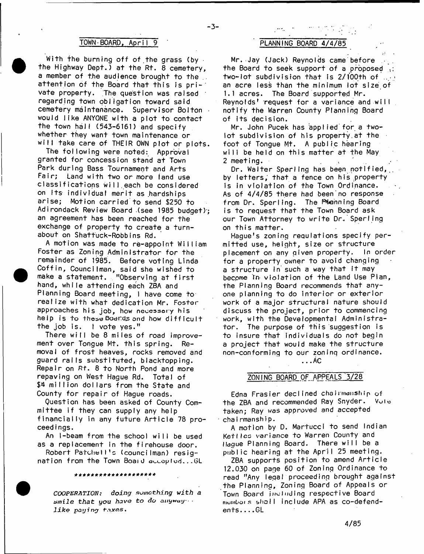#### **TOWN-BOARD, April 9** *PLANNING BOARD 4/4/85*

With the burning off of the grass (by **the Highway Dept.) at the Rt. 8 cemetery, a member of the audience brought to the ..** attention of the Board that this is pri-1 **vate property. The question was raised 1** regarding town obligation toward said cemetery maintenance. Supervisor Bolton would like ANYONE with a plot to contact **the town h a ll (543-6161) and specify whether they want town maintenance or** will take care of THEIR OWN plot or plots.

**The following were noted: Approval** granted for concession stand at Town **Park during Bass Tournament and Arts** Fair; Land with two or more land use **c la s s i f i c a t i o n s w ill.e a c h be considered** on its individual merit as hardships **a ris e ; Motion c arried to send \$250 to Adirondack Review Board (see 1985 budget)-;** an agreement has been reached for the exchange of property to create a turn**about on Shattuck-Robbins Rd.**

A motion was made to re-appoint William Foster as Zoning Administrator for the **remainder of 1985. Before voting Linda C o ffin , Councilman, said she wished to** make a statement. "Observing at first hand, while attending each ZBA and **Planning Board meeting, I have come to re a lize with what dedication Mr. Foster** approaches his job, how necessary his help is to these Boards and how difficult **the job is. I vote yes."**

There will be 8 miles of road improvement over Tongue Mt. this spring. Removal of frost heaves, rocks removed and **guard ra ils substituted, bIacktopping. Repair on Rt. 8 to North Pond and more repaving on West Hague Rd. Total of** \$4 million dollars from the State and County for repair of Haque roads.

**Question has been asked of County Comm ittee if they can supply any help** financially in any future Article 78 pro**ceed i ngs.**

An I-beam from the school will be used **as a replacement in the firehouse door.**

Robert Patchell's (councilman) resig**nation from the Town Board accepted...GL** 

\*\*\*\*\*\*\*\*\*\*\*\*\*\*\*

*COOPERATION; doing something with a &mile that you have to do anyway- like paying taxes***.**

-3-

**Mr. Jay (Jack) Reynolds came before the Board to seek support of a proposed** two-lot subdivision that is 2/100th of ... an acre less than the minimum lot size of **1.1 acres. The Board supported Mr.** Reynolds<sup>1</sup> request for a variance and will **n o tify the Warren County Planning Board of its decision.**

Mr. John Pucek has applied for a two**lot subdivision of his property.at the** foot of Tongue Mt. A public hearing will be held on this matter at the May **2 meeting. '**

Dr. Walter Sperling has been notified, by letters, that a fence on his property Is in violation of the Town Ordinance. As of  $4/4/85$  there had been no response **from Dr. Sperling. The Planning Board** is to request that the Town Board ask our Town Attorney to write Dr. Sperling **on t h is m atter.**

**Hague's zoning regulations specify permitted use, height, size or structure placement on any given property. In order** for a property owner to avoid changing a structure in such a way that it may become In violation of the Land Use Plan, the Planning Board recommends that anyone planning to do interior or exterior work of a major structural nature should discuss the project, prior to commencing **work, with the Developmental Administrato r . The purpose of t h is suggestion is** to insure that individuals do not begin a project that would make the structure **non-conforming to our zoninq ordinance.**

**...AC**

#### **ZONING BOARD OF APPEALS 3/28**

**Edna F ra s ie r declined** chairmanship **of the ZBA and recommended Ray Snyder. Vole taken; Ray was approved and accepted chairmanship.**

**A motion by D. Martucci to send Indian K etl** *tea* **variance to Warren County and Hague Planning Board. There w i ll be a** public hearing at the April 25 meeting.

ZBA supports position to amend Article **12.030 on page 60 of Zoning Ordinance to read "Any legal proceeding brought against the Planning, Zoning Board of Appeals or** Town Board including respective Board membors shall include APA as co-defend**e n t s . . . .GL**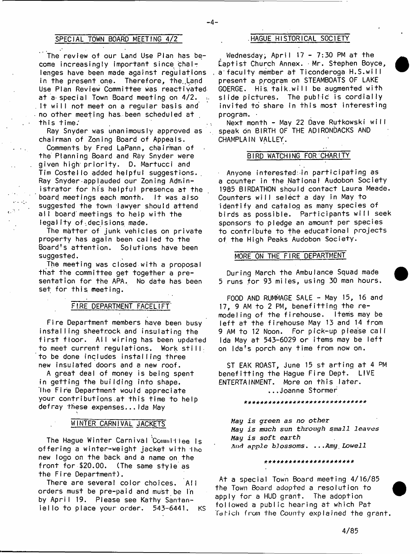## **SPECIAL TOWN BOARD MEETING 4/2**

**The review of our Land Use Plan has be**come increasingly important since chal**lenges have been made against regulations** in the present one. Therefore, the Land **Use Plan Review Committee was reactivated a t a- special Town Board meeting on 4 /2 . ; It will not meet on a regular basis and no other meeting has been scheduled at this time.'**

**Ray Snyder was unanimously approved as chairman of Zoning Board of Appeals.**

**Comments by Fred LaPann, chairman of the Planning Board and Ray Snyder were** given high priority. D. Martucci and Tim Costello added helpful suggestions. **Ray Snyder applauded our Zoning Administrator for his helpful presence at the board meetings each month.** It was also **suggested the town lawyer should attend all board'meetings to help with the** legality of decisions made.

The matter of junk vehicles on private property has again been called to the Board's attention. Solutions have been **suggested.**

**The meeting was closed with a proposal** that the committee get together a presentation for the APA. No date has been **set for this, meeting.**

## **FIRE DEPARTMENT FACELIFT'**

**F ire Department members have been busy in s ta llin g sheetrock and insulating the** first floor. All wiring has been updated to meet current regulations. Work still. to be done includes installing three **new insulated doors and a new roof.**

**A great deal of money is being spent in getting the building into shape. I he F ire Department would appreciate** your contributions at this time to help **defray these expenses.. . Ida May**

### **WINTER CARNIVAL JACKETS**

**The Hague Winter Carnival 'CoinrnH lee Is** offering a winter-weight jacket with the **new logo on the back and a name on the** front for \$20.00. (The same style as **the Fire Department).**

**There are several color choices. Ail orders must be pre-pa id and must be In** by April 19. Please see Kathy Santan**i e l l o to place your order. 543-6441. KS**

## **.HAGUE HISTORICAL SOCIETY**

Wednesday; April 17 - 7:30 PM at the **E ap tist Church Annex. Mr. Stephen Boyce,** a faculty member at Ticonderoga H.S.will **present a program on STEAMBOATS OF LAKE GOERGE.** His talk.will be augmented with slide pictures. The public is cordially invited to share in this most interesting **program. ■**

Next month - May 22 Dave Rutkowski will **speak on BIRTH OF THE AD IRONDACKS AND CHAMPLAIN VALLEY.**

### **BIRD WATCHING FOR CHARITY**

Anyone interested<sub>in</sub> participating as **a counter in the National Audobon Society 1985 BIRDATHON should contact Laura Meade.** Counters will select a day in May to **id e n tify and catalog as many species of** birds as possible. Participants will seek **sponsors to pledge an amount per species to contribute to the educational projects of the High Peaks Audobon Society.**

#### **MORE ON THE FIRE DEPARTMENT**

**During March the Ambulance Squad made** 5 runs for 93 miles, using 30 man hours.

**FOOD AND RUMMAGE SALE - May 15, 16 and** 17, 9 AM to 2 PM, benefitting the re**modeling of the firehouse. Items may be** left at the firehouse May 13 and 14 from 9 AM to 12 Noon. For pick-up please call Ida May at 543-6029 or items may be left on Ida's porch any time from now on.

ST EAK ROAST, June 15 st arting at 4 PM benefitting the Hague Fire Dept. LIVE **ENTERTAINMENT.** More on this later. **. . .Joanne Stormer**

*\* \* \* \* \* \* \* \* \* \* \* \* \* \* \* \* \* \* \* \* \* \* \* \* \* \* \* \* \* \**

*May is green as no other May is much sun through small leaves May is soft earth And apple blossoms\** **..***.Amy***,** *Lowell*

#### **st\*#\*\*\*\*####\*\*\*\*)!'\*)!'!\*\*\*)\*'**

At a special Town Board meeting 4/16/85 the Town Board adopted a resolution to apply for a HUD grant. The adoption followed a public hearing at which Pat Tatich from the County explained the grant.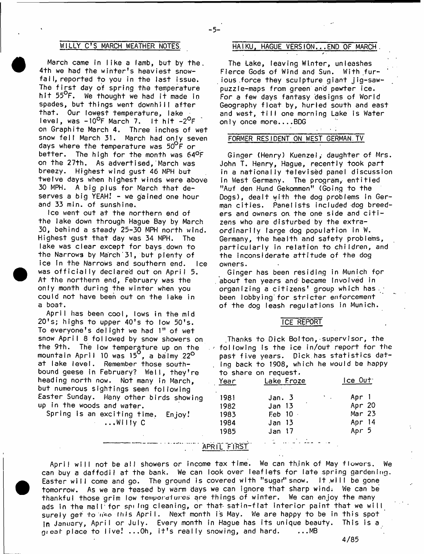March came in like a lamb, but by the. 4<sup>th</sup> we had the winter's heaviest snowfall, reported to you in the last issue. The first day of spring the temperature hit 55<sup>O</sup>F. We thought we had it made in spades, but things went downhill after that. Our lowest temperature, lake level, was -10<sup>0</sup>F March 7. It hit -2<sup>0</sup>F **on Graphite March 4. Three inches of wet** snow fell March 31. March had only seven **days where the temperature was 50°F or** better. The high for the month was 64<sup>o</sup>F on the 27th. As advertised, March was **breezy. Highest wind gust 46 MPH but twelve days when highest winds were above** 30 MPH. A big plus for March that de**serves a big YEAH! - we gained one hour and 33 min. of sunshine.**

Ice went out at the northern end of **the lake down through Hague Bay by March 30, behind a steady 25-30 MPH north wind.** Highest gust that day was 34 MPH. The lake was clear except for bays down to **the Narrows by March' 31, but plenty of ice in the Narrows and southern end. Ice** was officially declared out on April 5. **At the northern end, February was the** only month during the winter when you **could not have been out on the lake in a boat.**

**A p ril has been cool, lows in the mid 2 0 ' s; highs to upper 4 0 's to low 5 0 's.** To everyone's delight we had 1" of wet snow April 8 followed by snow showers on **the 9th. The low temperature up on the mountain A pril 10 was 15°, a balmy 22°** at lake level. Remember those southbound geese in February? Well, they're **heading north now. Not many in March, but numerous sightings seen follow ing** Easter Sunday. Many other birds showing **up in the woods and water.**

Spring is an exciting time. Enjoy! **...W iIly C**

# **WILLY C'S MARCH WEATHER NOTES HAIKU, HAGUE VERSION.. .END OF MARCH**

-5-

**The Lake, leaving W inter, unleashes** Fierce Gods of Wind and Sun. With fur**ious .force they sculpture giant jig-saw puzzle-maps from green and pewter ice. For a few days fantasy designs of World** Geography float by, hurled south and east and west, till one morning Lake is Water **only once more....BDG**

### **FORMER RESIDENT ON WEST GERMAN.TV**

**Ginger (Henry) Kuenzel,- daughter of Mrs.** John T. Henry, Haque, recently took part in a nationally televised panel discussion in West Germany. The program, entitied **"Auf den Hund Gekommen" (Going to the** Dogs), dealt with the dog problems in German cities. Panelists included dog breeders and owners on the one side and citizens who are disturbed by the extra**o r d in a r ily large dog population in W. Germany, the health and safety problems,** particularly in relation to children, and the inconsiderate attitude of the dog **owners.**

Ginger has been residing in Munich for **about ten years and' became Involved in organizing a citizens' group which has** been lobbying for stricter enforcement **of the dog leash regulations in Munich.**

#### **ICE REPORT**

**.Thanks to Dick Bolton, supervisor, the**  $\sim$  following is the ice in/out report for the past five years. Dick has statistics dat**ing back to 1908, which he would be happy to share on request.**

| Year | Lake Froze        | $lec$ $0$ ut                             |          |  |  |
|------|-------------------|------------------------------------------|----------|--|--|
| 1981 | Jan. 3            | $\mathcal{O}(\mathcal{O}_\mathcal{O})$ . | Apr 1    |  |  |
| 1982 | Jan <sub>13</sub> |                                          | Apr 20   |  |  |
| 1983 | Feb 10            |                                          | Mar $23$ |  |  |
| 1984 | Jan 13            |                                          | Apr $14$ |  |  |
| 1985 | Jan 17            |                                          | Apr 5    |  |  |

**APRll "FIRST**

April will not be all showers or income tax time. We can think of May flowers. We can buy a daffodil at the bank. We can look over leaflets for late spring gardening. Easter will come and go. The ground is covered with "sugar" snow. It will be gone tomorrow. As we are teased by warm days we can ignore that sharp wind. We can be thankful those grim low temporatures are things of winter. We can enjoy the many ads in the mall for spilng cleaning, or that satin-flat interior paint that we will surely get to nee this April. Next month is May. We are happy to be in this spot in January, April or July. Every month in Hague has its unique beauty. This is a  $q_i$  eat place to live! ... Oh, it's really snowing, and hard. ... MB

4/85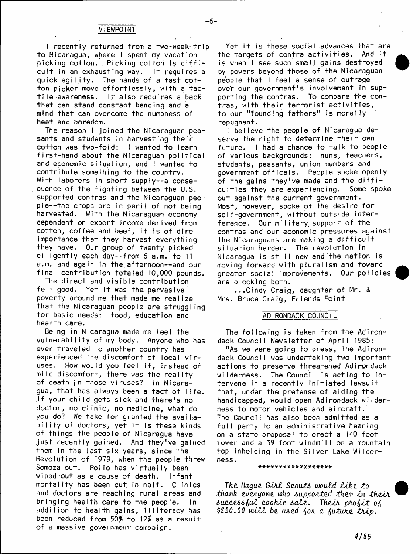**-6 -**

**1 recently returned from a two-week-trip to Nicaragua, where I spent my vacation** picking cotton. Picking cotton is difficult in an exhausting way. It requires a quick agility. The hands of a fast cotton picker move effortlessly, with a tac**t i l e awareness. IJ also requires a back th a t can stand constant bending and a** mind that can overcome the numbness of **heat and boredom.**

**The reason I joined the Nicaraguan pea**sants and students in harvesting their cotton was two-fold: I wanted to learn first-hand about the Nicaraguan political and economic situation, and I wanted to **contribute something to the country. With laborers in short supply— a conse**quence of the fighting between the U.S. **supported contras and the Nicaraguan peop le— the crops are in p e ril of not being harvested. With the Nicaraguan economy dependent on export income derived from** cotton, coffee and beef, it is of dire **importance that they harvest everything they have. Our group of twenty picked d i l i g e n t l y each day— from 6 a.m. to 11** a.m. and again in the afternoon--and our final contribution totaled 10,000 pounds.

The direct and visible contribution felt good. Yet it was the pervasive poverty around me that made me realize **that the Nicaraguan people are struggling** for basic needs: food, education and **health core.**

**Being in Nicaragua made me feel the** vulnerability of my body. Anyone who has ever traveled to another country has experienced the discomfort of local vir-1 uses. How would you feel if, instead of mild discomfort, there was the reality **of death jn those viruses? In Nicara**gua, that has always been a fact of life. If your child gets sick and there's no doctor, no clinic, no medicine, what do you do? We take for granted the avail<sub>a-</sub> **b ilit y of doctors, yet it is these kinds of things the people of Nicaragua have j u s t re ce n tly gained. And they've** gained them in the last six years, since the **Revolution of 1979, when the people threw** Somoza out. Polio has virtuaily been **wiped out as a cause of death. Infant** mortality has been cut in half. Clinics **and doctors are reaching rural areas and bringing health care to the people. In** addition to health gains, illiteracy has **been reduced from** *50%* **to** *\2%* **as a r e s u lt of a massive** government campaign.

**Yet it is these social advances that are** the targets of contra activities. And It is when I see such small gains destroyed **by powers beyond those of the Nicaraguan** people that I feel a sense of outrage **over our government's involvement in supporting the contras. To compare the con**tras, with their terrorist activities, **to our "'founding fathers" is morally repugnant.**

**I believe the people of Nicaragua de**serve the right to determine their own future. I had a chance to talk to people **of various backgrounds: nuns, teachers, students, peasants, union members and** qovernment officals. People spoke openly of the gains they've made and the diffi-<br>culties they are experiencing. Some spoke culties they are experiencing. **out against the current government.** Most, however, spoke of the desire for **self-government, without outside inter**ference. Our military support of the **contras and our economic pressures against** the Nicaraguans are making a difficult  $s$ **ituation harder.** The revolution in Nicaragua is still new and the nation is **moving forward with pluralism and toward greater social improvements. Our policies are blocking both.**

**...C indy Craig, daughter of Mr. & Mrs. Bruce Craig, Friends Point**

#### **ADIRONDACK COUNCIL**

**The following is taken from the Adirondack Council Newsletter of April 1985:**

**"As we were going to press, the Adirondack Council was undertaking two important actions to preserve threatened Adirondack wilderness. The Council is acting to in**tervene in a recently initiated lawsuit that, under the pretense of aiding the handicapped, would open Adirondack wilderness to motor vehicles and aircraft. **The Council has also been admitted as a** full party to an administrative hearing on a state proposal to erect a 140 foot lower **and** a **39 fo o t windmilI on a mountain** top inholding in the Silver Lake Wilder**ness.**

#### \*\*\*\*\*\*\*\*\*\*\*\*\*\*\*\*\*\*\*

*The Hague Gint Scouts would tik e to* thank everyone who supported them in their *auccqaa^uZ cookie &ate. Thein. pnofiit o^ \$250.00 w ilt be tued fan a ^utune tn ip .*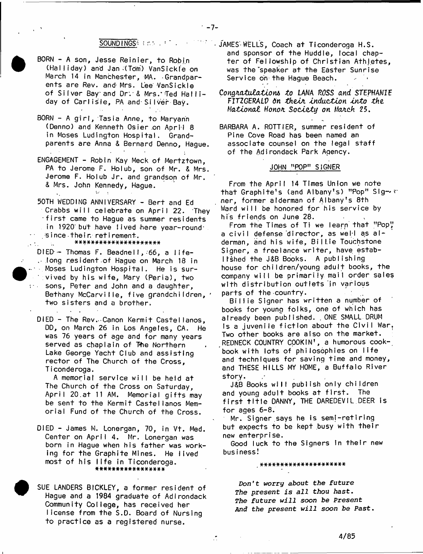#### SOUND INGS **Entry and SOUND INGS**

- BORN A son, Jesse Reinier, to Robin (Halliday) and Jan (Tom) VanSickle on March 14 in Manchester, MA. Grandparents are Rev. and Mrs. Lee VanSickle of Silver Bay and Dr. & Mrs. Ted Halliday of Carlisle, PA and Silver Bay.
- BORN A girl, Tasia Anne, to Maryann (Denno) and Kenneth Osier on April 8 in Moses Ludington Hospital, Grandparents are Anna & Bernard Denno, Hague.
- ENGAGEMENT Robin Kay Meck of Mertztown, PA to Jerome F. Holub, son of Mr. & Mrs. Jerome F. Holub Jr. and grandson of Mr. & Mrs. John Kennedy, Hague.
- 50TH WEDDING ANNIVERSARY Bert and Ed Crabbs will celebrate on April 22. They first came to Hague as summer residents in 1920 but have lived here year-round since their retirement.

\*\*\*\*\*\*\*\*\*\*\*\*\*\*\*\*\*\*\*\*\*

 $\mathcal{L}_{\text{eff}}$ 

DIED - Thomas F. Beadnell, 66, a life-. long resident of Haque on March 18 in - Moses Ludington Hospital. He is survived by his wife, Mary (Peria), two sons, Peter and John and a daughter, Bethany McCarville, five grandchildren, ' two sisters and a brother.

DIED - The Rev. Canon Kermit Castellanos, DD, on March 26 in Los Angeles, CA. He was 76 years of age and for many years served as chaplain of The Northern Lake George Yacht Club and assisting rector of The Church of the Cross, Ticonderoga.

A memorial service will be held at The Church of the Cross on Saturday, April 20.at 11 AM. Memorial gifts may be sent to the Kermit Castellanos Memorial Fund of the Church of the Cross.

- DIED James M. Lonergan, 70, in Vt. Med. Center on April 4. Mr. Lonergan was born in Hague when his father was working for the Graphite Mines. He lived most of his life in Ticonderoga. \*\*\*\*\*\*\*\*\*\*\*\*\*\*\*\*\*
- SUE LANDERS BICKLEY, a former resident of Hague and a 1984 graduate of Adirondack Community College, has received her license from the S.D. Board of Nursing to practice as a registered nurse.

- JAMES WELLS, Coach at Ticonderoga H.S. and sponsor of the Huddle, local chapter of Fellowship of Christian Athletes. was the speaker at the Easter Sunrise Service on the Haque Beach.

Congratulations to LANA ROSS and STEPHANIE FITZGERALD on their induction into the Mational Honor Society on March 25.

BARBARA A. ROTTIER, summer resident of Pine Cove Road has been named an associate counsel on the legal staff of the Adirondack Park Agency.

### JOHN "POP" SIGNER

From the April 14 Times Union we note that Graphite's (and Albany's) "Pop" Signer, former alderman of Albany's 8th Ward will be honored for his service by his friends on June 28.

From the Times of Ti we learn that "Pop" a civil defense director, as well as alderman, and his wife, Billie Touchstone Signer, a freelance writer, have established the J&B Books. A publishing house for children/young adult books, the company will be primarily mail order sales with distribution outlets in various parts of the country.

Billie Signer has written a number of books for young folks, one of which has already been published. ONE SMALL DRUM is a juvenile fiction about the Civil War, Two other books are also on the market. REDNECK COUNTRY COOKIN', a humorous cookbook with lots of philosophies on life and techniques for saving time and money, and THESE HILLS MY HOME, a Buffalo River story.

J&B Books will publish only children and young adult books at first. The first title DANNY, THE DAREDEVIL DEER is for ages  $6-8$ .

Mr. Signer says he is semi-retiring but expects to be kept busy with their new enterprise.

Good luck to the Signers in their new business!

\*\*\*\*\*\*\*\*\*\*\*\*\*\*\*\*\*\*\*\*\*

Don't worry about the future The present is all thou hast. The future will soon be Present And the present will soon be Past.

Ž.